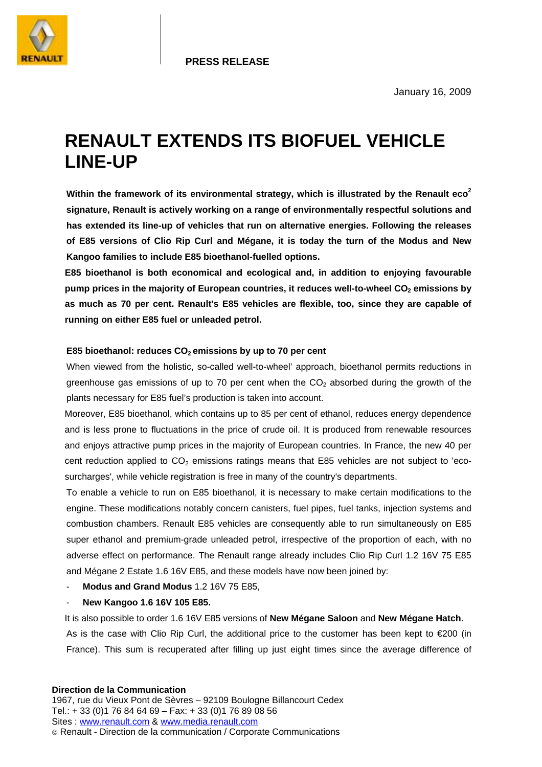

## **RENAULT EXTENDS ITS BIOFUEL VEHICLE LINE-UP**

**Within the framework of its environmental strategy, which is illustrated by the Renault eco<sup>2</sup> signature, Renault is actively working on a range of environmentally respectful solutions and has extended its line-up of vehicles that run on alternative energies. Following the releases of E85 versions of Clio Rip Curl and Mégane, it is today the turn of the Modus and New Kangoo families to include E85 bioethanol-fuelled options.** 

**E85 bioethanol is both economical and ecological and, in addition to enjoying favourable**  pump prices in the majority of European countries, it reduces well-to-wheel CO<sub>2</sub> emissions by **as much as 70 per cent. Renault's E85 vehicles are flexible, too, since they are capable of running on either E85 fuel or unleaded petrol.** 

## E85 bioethanol: reduces CO<sub>2</sub> emissions by up to 70 per cent

When viewed from the holistic, so-called well-to-wheel' approach, bioethanol permits reductions in greenhouse gas emissions of up to 70 per cent when the  $CO<sub>2</sub>$  absorbed during the growth of the plants necessary for E85 fuel's production is taken into account.

Moreover, E85 bioethanol, which contains up to 85 per cent of ethanol, reduces energy dependence and is less prone to fluctuations in the price of crude oil. It is produced from renewable resources and enjoys attractive pump prices in the majority of European countries. In France, the new 40 per cent reduction applied to  $CO<sub>2</sub>$  emissions ratings means that E85 vehicles are not subject to 'ecosurcharges', while vehicle registration is free in many of the country's departments.

To enable a vehicle to run on E85 bioethanol, it is necessary to make certain modifications to the engine. These modifications notably concern canisters, fuel pipes, fuel tanks, injection systems and combustion chambers. Renault E85 vehicles are consequently able to run simultaneously on E85 super ethanol and premium-grade unleaded petrol, irrespective of the proportion of each, with no adverse effect on performance. The Renault range already includes Clio Rip Curl 1.2 16V 75 E85 and Mégane 2 Estate 1.6 16V E85, and these models have now been joined by:

- **Modus and Grand Modus** 1.2 16V 75 E85,
- **New Kangoo 1.6 16V 105 E85.**

It is also possible to order 1.6 16V E85 versions of **New Mégane Saloon** and **New Mégane Hatch**. As is the case with Clio Rip Curl, the additional price to the customer has been kept to €200 (in France). This sum is recuperated after filling up just eight times since the average difference of